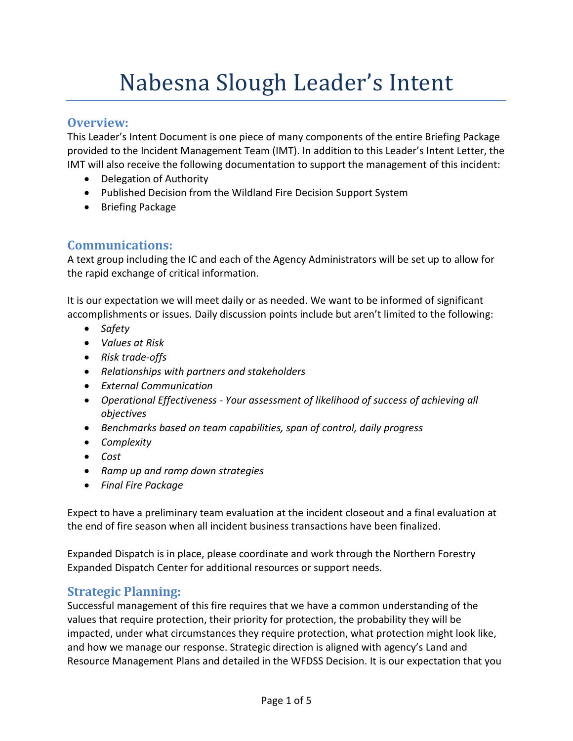# Nabesna Slough Leader's Intent

#### **Overview:**

This Leader's Intent Document is one piece of many components of the entire Briefing Package provided to the Incident Management Team (IMT). In addition to this Leader's Intent Letter, the IMT will also receive the following documentation to support the management of this incident:

- Delegation of Authority
- Published Decision from the Wildland Fire Decision Support System
- Briefing Package

# **Communications:**

A text group including the IC and each of the Agency Administrators will be set up to allow for the rapid exchange of critical information.

It is our expectation we will meet daily or as needed. We want to be informed of significant accomplishments or issues. Daily discussion points include but aren't limited to the following:

- *Safety*
- *Values at Risk*
- *Risk trade-offs*
- *Relationships with partners and stakeholders*
- *External Communication*
- *Operational Effectiveness Your assessment of likelihood of success of achieving all objectives*
- *Benchmarks based on team capabilities, span of control, daily progress*
- *Complexity*
- *Cost*
- *Ramp up and ramp down strategies*
- *Final Fire Package*

Expect to have a preliminary team evaluation at the incident closeout and a final evaluation at the end of fire season when all incident business transactions have been finalized.

Expanded Dispatch is in place, please coordinate and work through the Northern Forestry Expanded Dispatch Center for additional resources or support needs.

# **Strategic Planning:**

Successful management of this fire requires that we have a common understanding of the values that require protection, their priority for protection, the probability they will be impacted, under what circumstances they require protection, what protection might look like, and how we manage our response. Strategic direction is aligned with agency's Land and Resource Management Plans and detailed in the WFDSS Decision. It is our expectation that you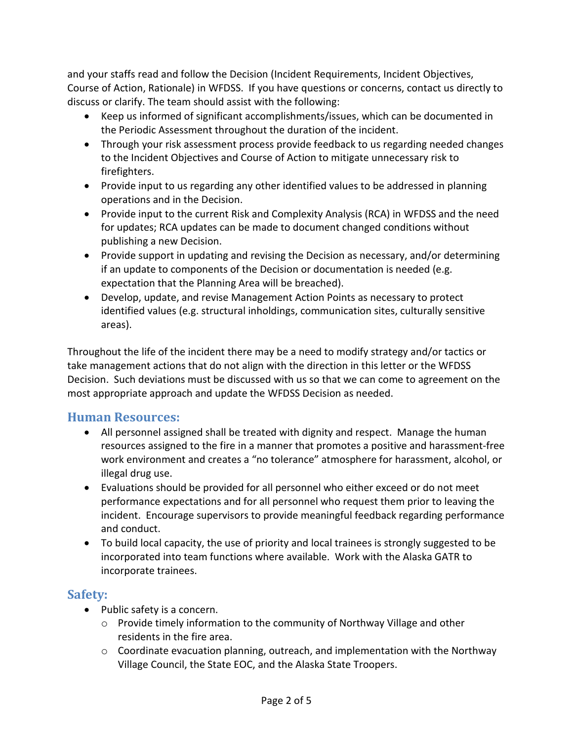and your staffs read and follow the Decision (Incident Requirements, Incident Objectives, Course of Action, Rationale) in WFDSS. If you have questions or concerns, contact us directly to discuss or clarify. The team should assist with the following:

- Keep us informed of significant accomplishments/issues, which can be documented in the Periodic Assessment throughout the duration of the incident.
- Through your risk assessment process provide feedback to us regarding needed changes to the Incident Objectives and Course of Action to mitigate unnecessary risk to firefighters.
- Provide input to us regarding any other identified values to be addressed in planning operations and in the Decision.
- Provide input to the current Risk and Complexity Analysis (RCA) in WFDSS and the need for updates; RCA updates can be made to document changed conditions without publishing a new Decision.
- Provide support in updating and revising the Decision as necessary, and/or determining if an update to components of the Decision or documentation is needed (e.g. expectation that the Planning Area will be breached).
- Develop, update, and revise Management Action Points as necessary to protect identified values (e.g. structural inholdings, communication sites, culturally sensitive areas).

Throughout the life of the incident there may be a need to modify strategy and/or tactics or take management actions that do not align with the direction in this letter or the WFDSS Decision. Such deviations must be discussed with us so that we can come to agreement on the most appropriate approach and update the WFDSS Decision as needed.

#### **Human Resources:**

- All personnel assigned shall be treated with dignity and respect. Manage the human resources assigned to the fire in a manner that promotes a positive and harassment-free work environment and creates a "no tolerance" atmosphere for harassment, alcohol, or illegal drug use.
- Evaluations should be provided for all personnel who either exceed or do not meet performance expectations and for all personnel who request them prior to leaving the incident. Encourage supervisors to provide meaningful feedback regarding performance and conduct.
- To build local capacity, the use of priority and local trainees is strongly suggested to be incorporated into team functions where available. Work with the Alaska GATR to incorporate trainees.

# **Safety:**

- Public safety is a concern.
	- $\circ$  Provide timely information to the community of Northway Village and other residents in the fire area.
	- $\circ$  Coordinate evacuation planning, outreach, and implementation with the Northway Village Council, the State EOC, and the Alaska State Troopers.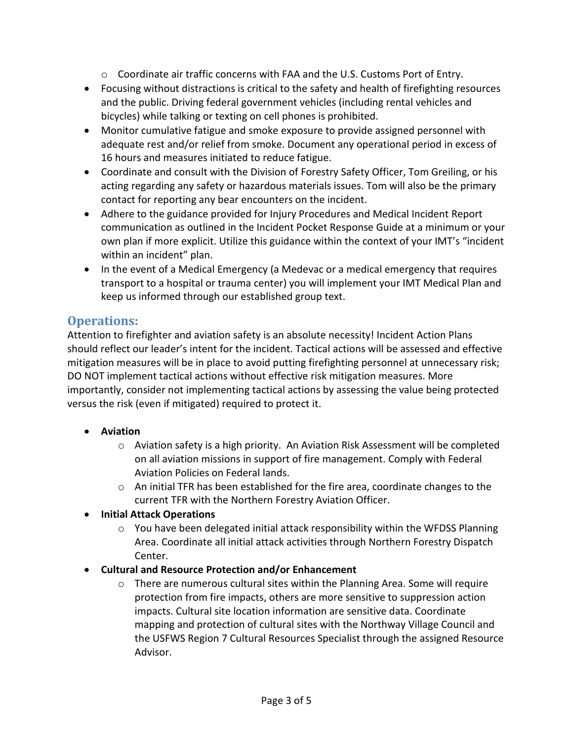- $\circ$  Coordinate air traffic concerns with FAA and the U.S. Customs Port of Entry.
- Focusing without distractions is critical to the safety and health of firefighting resources and the public. Driving federal government vehicles (including rental vehicles and bicycles) while talking or texting on cell phones is prohibited.
- Monitor cumulative fatigue and smoke exposure to provide assigned personnel with adequate rest and/or relief from smoke. Document any operational period in excess of 16 hours and measures initiated to reduce fatigue.
- Coordinate and consult with the Division of Forestry Safety Officer, Tom Greiling, or his acting regarding any safety or hazardous materials issues. Tom will also be the primary contact for reporting any bear encounters on the incident.
- Adhere to the guidance provided for Injury Procedures and Medical Incident Report communication as outlined in the Incident Pocket Response Guide at a minimum or your own plan if more explicit. Utilize this guidance within the context of your IMT's "incident within an incident" plan.
- In the event of a Medical Emergency (a Medevac or a medical emergency that requires transport to a hospital or trauma center) you will implement your IMT Medical Plan and keep us informed through our established group text.

# **Operations:**

Attention to firefighter and aviation safety is an absolute necessity! Incident Action Plans should reflect our leader's intent for the incident. Tactical actions will be assessed and effective mitigation measures will be in place to avoid putting firefighting personnel at unnecessary risk; DO NOT implement tactical actions without effective risk mitigation measures. More importantly, consider not implementing tactical actions by assessing the value being protected versus the risk (even if mitigated) required to protect it.

- **Aviation**
	- o Aviation safety is a high priority. An Aviation Risk Assessment will be completed on all aviation missions in support of fire management. Comply with Federal Aviation Policies on Federal lands.
	- $\circ$  An initial TFR has been established for the fire area, coordinate changes to the current TFR with the Northern Forestry Aviation Officer.
- **Initial Attack Operations**
	- $\circ$  You have been delegated initial attack responsibility within the WFDSS Planning Area. Coordinate all initial attack activities through Northern Forestry Dispatch Center.
- **Cultural and Resource Protection and/or Enhancement**
	- $\circ$  There are numerous cultural sites within the Planning Area. Some will require protection from fire impacts, others are more sensitive to suppression action impacts. Cultural site location information are sensitive data. Coordinate mapping and protection of cultural sites with the Northway Village Council and the USFWS Region 7 Cultural Resources Specialist through the assigned Resource Advisor.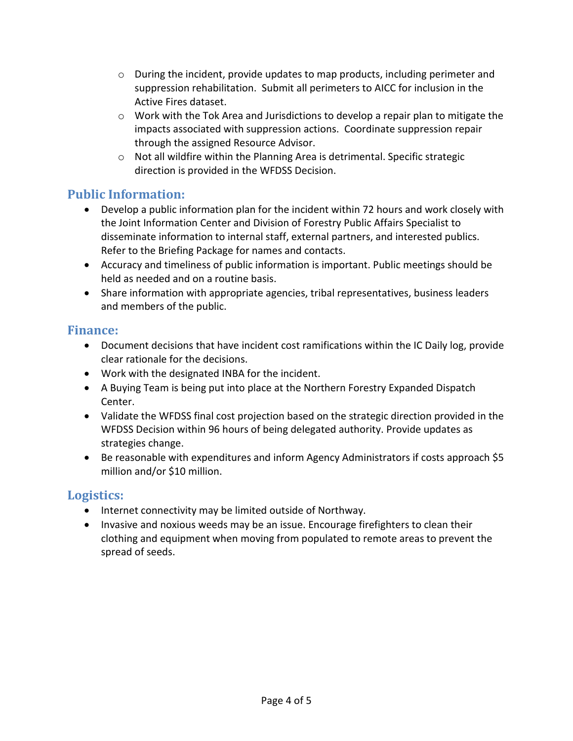- $\circ$  During the incident, provide updates to map products, including perimeter and suppression rehabilitation. Submit all perimeters to AICC for inclusion in the Active Fires dataset.
- $\circ$  Work with the Tok Area and Jurisdictions to develop a repair plan to mitigate the impacts associated with suppression actions. Coordinate suppression repair through the assigned Resource Advisor.
- o Not all wildfire within the Planning Area is detrimental. Specific strategic direction is provided in the WFDSS Decision.

# **Public Information:**

- Develop a public information plan for the incident within 72 hours and work closely with the Joint Information Center and Division of Forestry Public Affairs Specialist to disseminate information to internal staff, external partners, and interested publics. Refer to the Briefing Package for names and contacts.
- Accuracy and timeliness of public information is important. Public meetings should be held as needed and on a routine basis.
- Share information with appropriate agencies, tribal representatives, business leaders and members of the public.

# **Finance:**

- Document decisions that have incident cost ramifications within the IC Daily log, provide clear rationale for the decisions.
- Work with the designated INBA for the incident.
- A Buying Team is being put into place at the Northern Forestry Expanded Dispatch Center.
- Validate the WFDSS final cost projection based on the strategic direction provided in the WFDSS Decision within 96 hours of being delegated authority. Provide updates as strategies change.
- Be reasonable with expenditures and inform Agency Administrators if costs approach \$5 million and/or \$10 million.

# **Logistics:**

- Internet connectivity may be limited outside of Northway.
- Invasive and noxious weeds may be an issue. Encourage firefighters to clean their clothing and equipment when moving from populated to remote areas to prevent the spread of seeds.